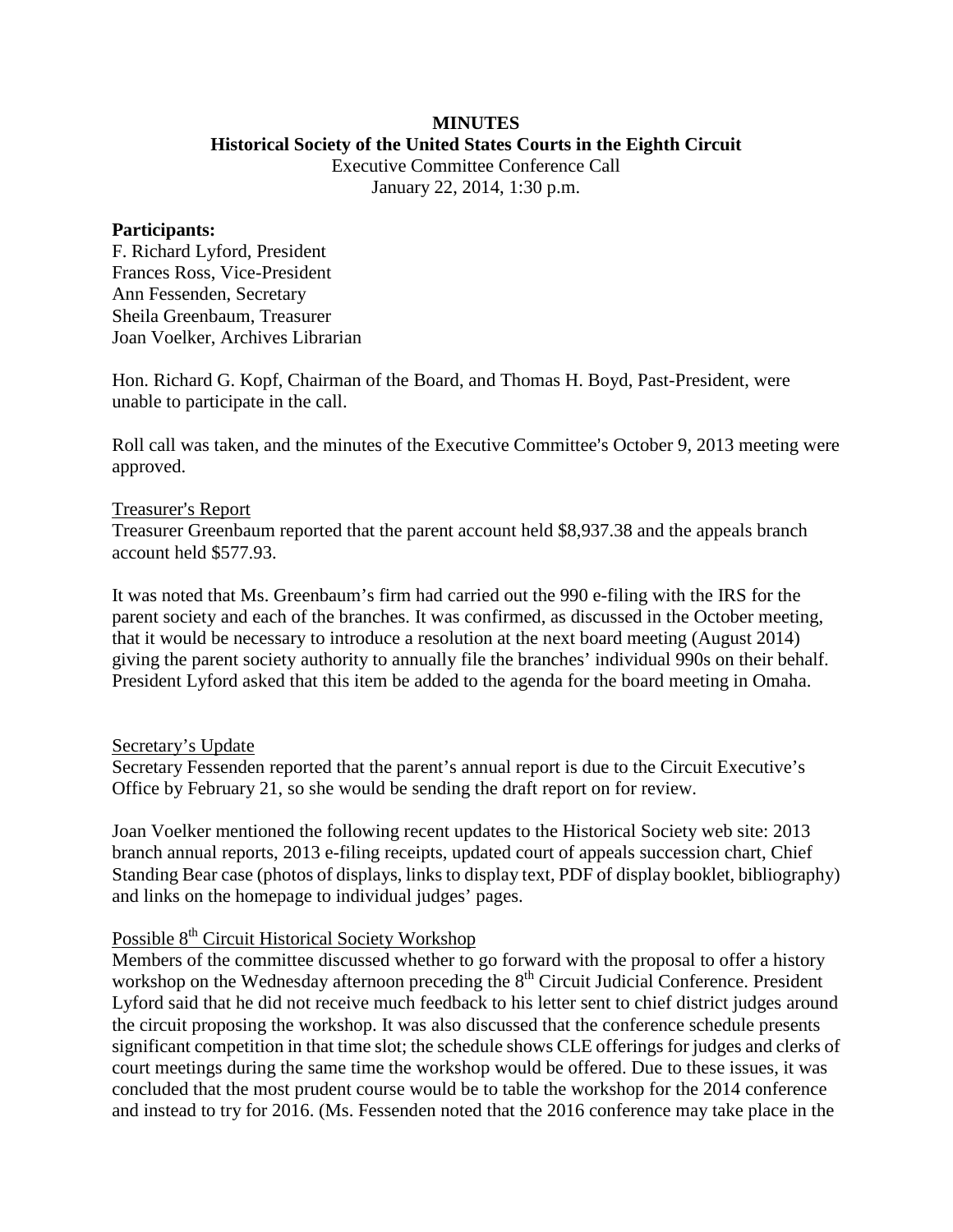# **MINUTES**

#### **Historical Society of the United States Courts in the Eighth Circuit**

Executive Committee Conference Call January 22, 2014, 1:30 p.m.

#### **Participants:**

F. Richard Lyford, President Frances Ross, Vice-President Ann Fessenden, Secretary Sheila Greenbaum, Treasurer Joan Voelker, Archives Librarian

Hon. Richard G. Kopf, Chairman of the Board, and Thomas H. Boyd, Past-President, were unable to participate in the call.

Roll call was taken, and the minutes of the Executive Committee's October 9, 2013 meeting were approved.

## Treasurer's Report

Treasurer Greenbaum reported that the parent account held \$8,937.38 and the appeals branch account held \$577.93.

It was noted that Ms. Greenbaum's firm had carried out the 990 e-filing with the IRS for the parent society and each of the branches. It was confirmed, as discussed in the October meeting, that it would be necessary to introduce a resolution at the next board meeting (August 2014) giving the parent society authority to annually file the branches' individual 990s on their behalf. President Lyford asked that this item be added to the agenda for the board meeting in Omaha.

## Secretary's Update

Secretary Fessenden reported that the parent's annual report is due to the Circuit Executive's Office by February 21, so she would be sending the draft report on for review.

Joan Voelker mentioned the following recent updates to the Historical Society web site: 2013 branch annual reports, 2013 e-filing receipts, updated court of appeals succession chart, Chief Standing Bear case (photos of displays, links to display text, PDF of display booklet, bibliography) and links on the homepage to individual judges' pages.

## Possible 8<sup>th</sup> Circuit Historical Society Workshop

Members of the committee discussed whether to go forward with the proposal to offer a history workshop on the Wednesday afternoon preceding the 8<sup>th</sup> Circuit Judicial Conference. President Lyford said that he did not receive much feedback to his letter sent to chief district judges around the circuit proposing the workshop. It was also discussed that the conference schedule presents significant competition in that time slot; the schedule shows CLE offerings for judges and clerks of court meetings during the same time the workshop would be offered. Due to these issues, it was concluded that the most prudent course would be to table the workshop for the 2014 conference and instead to try for 2016. (Ms. Fessenden noted that the 2016 conference may take place in the